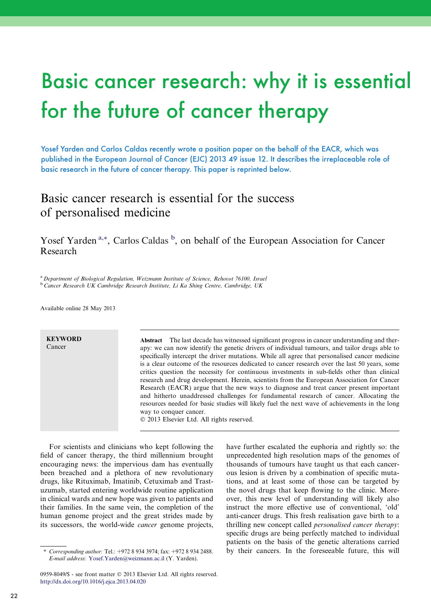# Basic cancer research: why it is essential for the future of cancer therapy European Journal of Cancer (2013) 49, 2619– 2620

Yosef Yarden and Carlos Caldas recently wrote a position paper on the behalf of the EACR, which was published in the European Journal of Cancer (EJC) 2013 49 issue 12. It describes the irreplaceable role of basic research in the future of cancer therapy. This paper is reprinted below.

### Basic cancer research is essential for the success of personalised medicine

Yosef Yarden<sup>a,\*</sup>, Carlos Caldas<sup>b</sup>, on behalf of the European Association for Cancer Research

<sup>a</sup> Department of Biological Regulation, Weizmann Institute of Science, Rehovot 76100, Israel <sup>b</sup> Cancer Research UK Cambridge Research Institute, Li Ka Shing Centre, Cambridge, UK

Available online 28 May 2013

**KEYWORD** Cancer

Abstract The last decade has witnessed significant progress in cancer understanding and therapy: we can now identify the genetic drivers of individual tumours, and tailor drugs able to specifically intercept the driver mutations. While all agree that personalised cancer medicine is a clear outcome of the resources dedicated to cancer research over the last 50 years, some critics question the necessity for continuous investments in sub-fields other than clinical research and drug development. Herein, scientists from the European Association for Cancer Research (EACR) argue that the new ways to diagnose and treat cancer present important and hitherto unaddressed challenges for fundamental research of cancer. Allocating the resources needed for basic studies will likely fuel the next wave of achievements in the long way to conquer cancer.

2013 Elsevier Ltd. All rights reserved.

For scientists and clinicians who kept following the field of cancer therapy, the third millennium brought encouraging news: the impervious dam has eventually been breached and a plethora of new revolutionary drugs, like Rituximab, Imatinib, Cetuximab and Trastuzumab, started entering worldwide routine application in clinical wards and new hope was given to patients and their families. In the same vein, the completion of the human genome project and the great strides made by its successors, the world-wide cancer genome projects,

have further escalated the euphoria and rightly so: the unprecedented high resolution maps of the genomes of thousands of tumours have taught us that each cancerous lesion is driven by a combination of specific mutations, and at least some of those can be targeted by the novel drugs that keep flowing to the clinic. Moreover, this new level of understanding will likely also instruct the more effective use of conventional, 'old' anti-cancer drugs. This fresh realisation gave birth to a thrilling new concept called personalised cancer therapy: specific drugs are being perfectly matched to individual patients on the basis of the genetic alterations carried by their cancers. In the foreseeable future, this will

<sup>⇑</sup> Corresponding author: Tel.: +972 8 934 3974; fax: +972 8 934 2488. E-mail address: Yosef.Yarden@weizmann.ac.il (Y. Yarden).

<sup>0959-8049/\$ -</sup> see front matter © 2013 Elsevier Ltd. All rights reserved. http://dx.doi.org/10.1016/j.ejca.2013.04.020